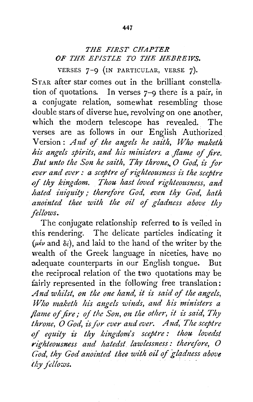## THE *FIRST CHAPTER OF THE EPISTLE TO THE HEBREWS.*

VERSES 7-9 (IN PARTICULAR, VERSE 7).

STAR after star comes out in the brilliant constellation of quotations. In verses 7-9 there is a pair, in a conjugate relation, somewhat resembling those double stars of diverse hue, revolving on one another, which the modern telescope has revealed. The verses are as follows in our English Authorized Version : *A 1zd of the angels he saith, Who maketh*  his angels spirits, and his ministers a *flame of fire*. *But unto the Son he saith, Thy throne, O God, is for ever and ever : a sceptre of righteousness is the sceptre of thy kingdom. Thou hast loved righteousness, and hated iniquity; therefore God, even thy God, hath anointed thee with the oil of gladness above thy fellows.* 

The conjugate relationship referred to is veiled in this rendering. The delicate particles indicating it ( $\mu \notin \nu$  and  $\delta \notin \mathcal{E}$ ), and laid to the hand of the writer by the wealth of the Greek language in niceties, have no adequate counterparts in our English tongue. But the reciprocal relation of the two quotations may be fairly represented in the following free translation: And whilst, on the one hand, it is said of the angels, *Who maketh his angels winds, and his ministers a flame of fire; of the Son, on the other, it is said, Thy throne, O God, is for ever and ever. And, The sceptre of equity is thy kingdom's sceptre : thou lovedst righteousness and hatedst. lawlessness: therefore, 0*  God, thy God anointed thee with oil of gladness above *thy fellows.*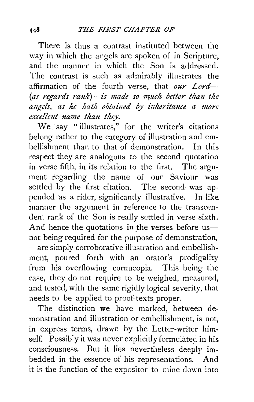There is thus a contrast instituted between the way in which the angels are spoken of in Scripture, and the manner in which the Son is addressed. The contrast is such as admirably illustrates the affirmation of the fourth verse, that *our Lord-* (as regards rank)-is made so much better than the *angels, as he hath obtained by -inheritance a more excellent name than they.* 

We say "illustrates," for the writer's citations belong rather to the category of illustration and embellishment than to that of demonstration. In this respect they are analogous to the second quotation in verse fifth, in its relation to the first. The argument regarding the name of our Saviour was settled by the first citation. The second was appended as a rider, significantly illustrative. In like pended as a rider, significantly illustrative. manner the argument in reference to the transcendent rank of the Son is really settled in verse sixth. And hence the quotations in the verses before usnot being required for the purpose of demonstration, -are simply corroborative illustration and embellishment, poured forth with an orator's prodigality from his overflowing cornucopia. This being the case, they do not require to be weighed, measured, and tested, with the same rigidly logical severity, that needs to be applied to proof-texts proper.

The distinction we have marked, between demonstration and illustration or embellishment, is not, in express terms, drawn by the Letter-writer himself. Possibly it was never explicitly formulated in his consciousness. But it lies nevertheless deeply imbedded in the essence of his representations. And it is the function of the expositor to mine down into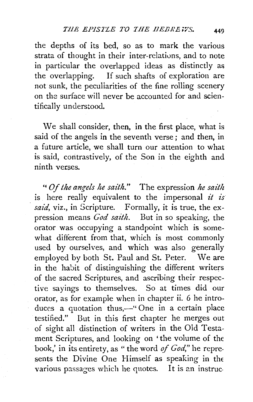the depths of its bed, so as to mark the various strata of thought in their inter-relations, and to note in particular the overlapped ideas as distinctly as the overlapping. If such shafts of exploration are not sunk, the peculiarities of the fine rolling scenery on the surface will never be accounted for and scientifically understood.

We shall consider, then, in the first place, what is said of the angels in the seventh verse ; and then, in a future article, we shall turn our attention to what is said, contrastively, of the Son in the eighth and ninth verses.

*''Of the angels he saith."* The expression *he saith*  is here really equivalent to the impersonal *it is*  said, viz., in Scripture. Formally, it is true, the expression means *God saith.* But in so speaking, the orator was occupying a standpoint which is somewhat different from that, which is most commonly used by ourselves, and which was also generally employed by both St. Paul and St. Peter. We are in the habit of distinguishing the different writers of the sacred Scriptures, and ascribing their respective sayings to themselves. So at times did our orator, as for example when in chapter ii. 6 he introduces a quotation thus,-" One in a certain place testified." But in this first chapter he merges out of sight all distinction of writers in the Old Testament Scriptures, and looking on 'the volume of the book,' in its entirety, as "the word *of God,"* he represents the Divine One Himself as speaking in the various passages which he quotes. It is an instruc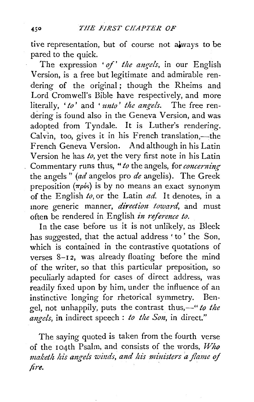tive representation, but of course not always to be pared *to* the quick.

The expression ' of' the angels, in our English Version, is a free but legitimate and admirable rendering of the original; though the Rheims and Lord Cromwell's Bible have respectively, and more literally, *'to'* and ' *unto' the angels.* The free rendering is found also in the Geneva Version, and was adopted from Tyndale. It is Luther's rendering.  $Calyin$ , too, gives it in his French translation,—the French Geneva Version. And although in his Latin Version he has *to,* yet the very first note in his Latin Commentary runs thus, " to the angels, for *concerning* the angels" *(ad* angelos pro *de* angelis). The Greek preposition ( $\pi \rho \delta s$ ) is by no means an exact synonym of the English *to,* or the Latin *ad.* It denotes, in a more generic manner, *direction toward*, and must often be rendered in English *in reference to.* 

In the case before us it is not unlikely, as Bleek has suggested, that the actual address ' to' the Son, which is contained in the contrastive quotations of verses 8-12, was already floating before the mind of the writer, so that this particular preposition, so peculiarly adapted for cases of direct address, was readily fixed upon by him, under the influence of an instinctive longing for rhetorical symmetry. Bengel, not unhappily, puts the contrast thus,-" to the *mzgels,* in indirect speech : *to the Son,* in direct."

The saying quoted is taken from the fourth verse of the 1 04th Psalm, and consists of the words, *Who maketh his augels winds, and his ministers* a *flame of fire.* .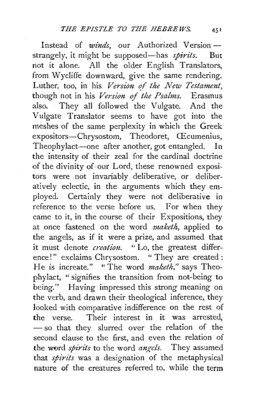Instead of *winds*, our Authorized Versionstrangely, it might be supposed-has *spirits.* But not it alone. All the older English Translators, from Wycliffe downward, give the same rendering. Luther, too, in his *Version of the New Testament*, though not in his *Version of the Psalms*. Erasmus also. They all followed the Vulgate. And the V ulgate Translator seems to have got into the meshes of the same perplexity in which the Greek expositors-Chrysostom, Theodoret, Œcumenius, Theophylact-one after another, got entangled. In the intensity of their zeal for the cardinal doctrine of the divinity of ·our Lord, these renowned expositors were not invariably deliberative, or deliberatively eclectic, in the arguments which they employed. Certainly they were not deliberative in reference to the verse before us. For when they came to it, in the course of their Expositions, they at once fastened on the word *maketh,* applied to the angels, as if it were a prize, and assumed that it must denote *creation.* "Lo, the greatest difference!" exclaims Chrysostom. "They are created : He is increate." "The word *maketh*," says Theophylact, "signifies the transition from not-being to being." Having impressed this strong meaning on the verb, and drawn their theological inference, they looked with comparative indifference on the rest of the verse. Their interest in it was arrested, - so that they slurred over the relation of the second clause to the first, and even the relation of the word *spirits* to the word *angels*. They assumed that *spirits* was a designation of the metaphysical nature of the creatures referred to, while the term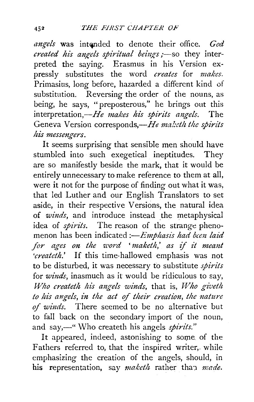angels was intended to denote their office. *God created his angels spiritual beings;*-so they interpreted the saying. Erasmus in his Version expressly substitutes the word *creates* for *makes.*  Primasius, long before, hazarded a different kind of substitution. Reversing the order of the nouns, as being, he says, "preposterous," he brings out this interpretation,—He makes his spirits angels. The Geneva Version corresponds,—He maketh the spirits *his messengers.* 

It seems surprising that sensible men should have stumbled into such exegetical ineptitudes. They are so manifestly beside the mark, that it would be entirely unnecessary to make reference to them at all, were it not for the purpose of finding out what it was, that led Luther and our English Translators to set aside, in their respective Versions, the natural idea of *winds,* and introduce instead the metaphysical idea of *spirits.* The reason of the strange phenomenon has been indicated *:-Emphasis had been laid for ages on the 7J.'ord* ' *maketh,' as* if *it meant 'createth.'* If this time-hallowed emphasis was not to be disturbed, it was necess2ry to substitute *spirits*  for *winds,* inasmuch as it would be ridiculous to say, *Who createth his angels winds, that is, Who giveth to his angels, in the act* of *their creation, the nature*  of *winds.* There seemed to be no alternative but to fall back on the secondary import of the noun, and say,—" Who createth his angels *spirits.*"

It appeared, indeed, astonishing to some of the Fathers referred to, that the inspired writer, while emphasizing the creation of the angels, should, in his representation, say *maketh* rather than *made*.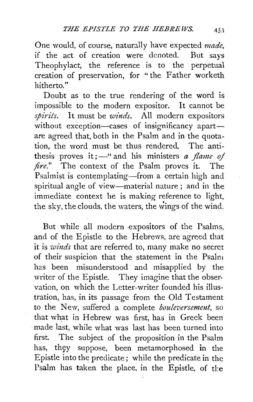One would, of course, naturally have expected *made*, if the act of creation were denoted. But savs if the act of creation were denoted. Theophylact, the reference is to the perpetual creation of preservation, for " the Father worketh hitherto."

Doubt as to the true rendering of the word is impossible to the modern expositor. It cannot be *spirits.* It must be *winds.* All modern expositors without exception-cases of insignificancy apartare agreed that, both in the Psalm and in the quotation, the word must be thus rendered. The antithesis proves it;  $-\omega$  and his ministers *a flame of fire."* The context of the Psalm proves it. The Psalmist is contemplating-from a certain high and spiritual angle of view-material nature ; and in the immediate context he is making reference to light, the sky, the clouds, the waters, the wings of the wind.

But while all modern expositors of the Psalms, and of the Epistle to the Hebrews, are agreed that it is *winds* that are referred to, many make no secret of their suspicion that the statement in the Psalm has been misunderstood and misapplied by the writer of the Epistle. They imagine that the observation, on which the Letter-writer founded his illustration, has, in its passage from the Old Testament to the New, suffered a complete *bouleversement,* so that what in Hebrew was first, has in Greek been made last, while what was last has been turned into first. The subject of the proposition in the Psalm has, they suppose, been metamorphosed in the Epistle into the predicate; while the predicate in the Psalm has taken the place, in the Epistle, of the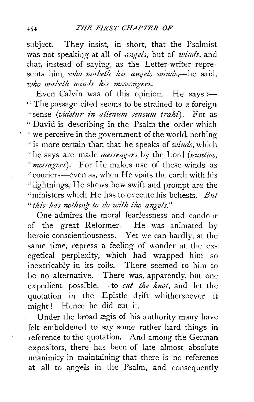subject. They insist, in short, that the Psalmist was not speakiog at all of *mzgcls,* but of *winds,* and that, instead of saying, as the Letter-writer represents him, *who maketh his angels winds*,—he said, *who maketh wi1tds his messmgers.* 

Even Calvin was of this opinion. He says :-" The passage cited seems to be strained to a foreign " sense (*videtur in alienum sensum trahi*). For as " David is describing in the Psalm the order which "we perceive in the government of the world, nothing "is more certain than that he speaks of *winds,* which "he says are made *messengers* by the Lord (*nuntios*, *"messagers).* For He makes use of these winds as "couriers--even as, when He visits the earth with his "lightnings, He shews how swift and prompt are the "ministers which He has to execute his behests. *But*  " this has nothing to do with the angels."

One admires the moral fearlessness and candour of the great Reformer. He was animated by heroic conscientiousness. Yet we can hardly, at the same time, repress a feeling of wonder at the exegetical perplexity, which had wrapped him so inextricably in its coils. There seemed to him to be no alternative. There was, apparently, but one expedient possible, - to *cut the knot*, and let the quotation in the Epistle drift whithersoever it might! Hence he did cut it.

Under the broad ægis of his authority many have felt emboldened to say some rather hard things in reference to the quotation. And among the German expositors, there has been of late almost absolute unanimity in maintaining that there is no reference at all to angels in the Psalm, and consequently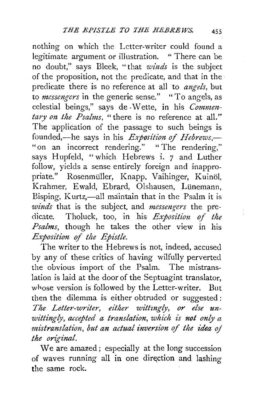nothing on which the Letter-writer could found a legitimate argument or illustration. "There can be no doubt," says Bleek, "that *winds* is the subject of the proposition, not the predicate, and that in the· predicate there is no reference at all to *angels,* but to *messengers* in the generic sense." "To angels, as celestial beings," says de Wette, in his *Commen*  $t$ ary on the Psalms, " there is no reference at all." The application of the passage to such beings is founded,—he says in his *Exposition of Hebrews*,— " on an incorrect rendering." "The rendering," says Hupfeld, "which Hebrews i. 7 and Luther follow, yields a sense entirely foreign and inappropriate." Rosenmüller, Knapp, Vaihinger, Kuinöl, Krahmer, Ewald, Ebrard, Olshausen, Lünemann, Bisping, Kurtz,-all maintain that in the Psalm it is *winds* that is the subject, and *messengers* the predicate. Tholuck, too, in his *Exposition of the Psalms,* though he takes the other view in his *Exposition of the Epistle.* 

The writer to the Hebrews is not, indeed, accused by any of these critics of having wilfully perverted the obvious import of the Psalm. The mistranslation is laid at the door of the Septuagint translator, whose version is followed by the Letter-writer. But then the dilemma is either obtruded or suggested: *The Letter-writer, either wittingly, or else unwittingly, accepted a translation, which is not only a*  mistranslation, but an actual inversion of the idea of *the original.* 

We are amazed ; especially at the long succession of waves running all in one direction and lashing the same rock.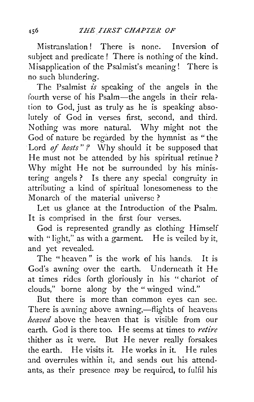Mistranslation! There is none. Inversion of subject and predicate! There is nothing of the kind. Misapplication of the Psalmist's meaning! There is no such blundering.

The Psalmist  $\overline{is}$  speaking of the angels in the fourth verse of his Psalm-the angels in their relation to God, just as truly as he is speaking absolutely of God in verses first, second, and third. Nothing was more natural. Why might not the God of nature be regarded by the hymnist as " the Lord *of hosts* "? Why should it be supposed that He must not be attended by his spiritual retinue ? Why might He not be surrounded by his ministering angels ? Is there any special congruity in attributing a kind of spiritual lonesomeness to the Monarch of the material universe ?

Let us glance at the Introduction of the Psalm. It is comprised in the first four verses.

God is represented grandly as clothing Himself with "light," as with a garment. He is veiled by it, and yet revealed.

The "heaven" is the work of his hands. It is God's awning over the earth. Underneath it He at times rides forth gloriously in his "chariot of clouds," borne along by the "winged wind."

But there is more than common eyes can see. There is awning above awning,—flights of heavens *heaved* above the heaven that is visible from our earth. God is there too. He seems at times to *ntire*  thither as it were. But He never really forsakes the earth. He visits it. He works in it. He rules and overrules within it, and sends out his attendants, as their presence may be required, to fulfil his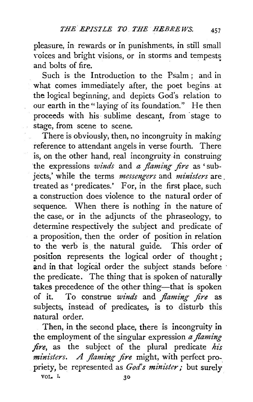pleasure, in rewards or in punishments, in still small voices and bright visions, or in storms and tempests and bolts of fire.

Such is the Introduction to the Psalm ; and in what comes immediately after, the poet begins. at the logical beginning, and depicts God's relation to our earth in the "laying of its foundation." He then proceeds with his sublime descant, from stage to stage, from scene to scene.

There is obviously; then, no incongruity in making reference to attendant angels in verse fourth. There is, on the other hand, real incongruity in construing the expressions *winds* and *a flaming fire* as 'subjects,' while the terms *messengers* and *ministers* are. treated as 'predicates.' For, in the first place, such a construction does violence to the natural order of sequence. When there is nothing in the nature of the case, or in the adjuncts of the phraseology, to determine respectively the subject and predicate of a proposition, then the order of position in relation to the verb is the natural guide. This order of position represents the logical order of thought ; and in that logical order the subject stands before the predicate. The thing that is spoken of naturally takes precedence of the other thing-that is spoken of it. To construe *winds* and *flaming fire* as subjects, instead of predicates, is to disturb this natural order.

Then, in the second place, there is incongruity in the employment of the singular expression *a flaming fire,* as the subject of the plural predicate *his ministers.* A *flaming fire* might, with perfect propriety, be represented as *God's minister;* but surely VOL I.  $30$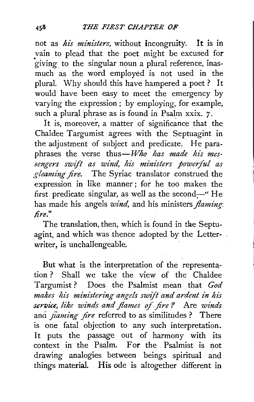not as *his ministers*, without incongruity. It is in vain to plead that the poet might be excused for giving to the singular noun a plural reference, inasmuch as the word employed is not used in the plural. Why should this have hampered a poet? It would have been easy to meet the emergency by varying the expression ; by employing, for example, such a plural phrase as is found in Psalm xxix. 7.

It is, moreover, a matter of significance that the Chaldee Targumist agrees with the Septuagint in the adjustment of subject and predicate. He paraphrases the verse thus-*Who has made his mes-*<sup>-</sup><br>sengers swift as wind, his ministers powerful as *gleaming fire.* The Syriac translator construed the expression in like manner ; for he too makes the first predicate singular, as well as the second- $-$ " He has made his angels *wind,* and his ministers *flaming-. lire."* 

The translation, then, which is found in the Septuagint, and which was thence adopted by the Letterwriter, is unchallengeable.

But what is the interpretation of the representation ? Shall we take the view of the Chaldee Targumist? Does the Psalmist mean that *God*  makes his ministering angels swift and ardent in his *service, like winds and flames of fire?* Are *winds* ang *fiaming fire* referred to as similitudes ? There is one fatal objection to any such interpretation. It puts the passage out of harmony with its context in the Psalm. For the Psalmist is not drawing analogies between beings spiritual and things material. His ode is altogether different in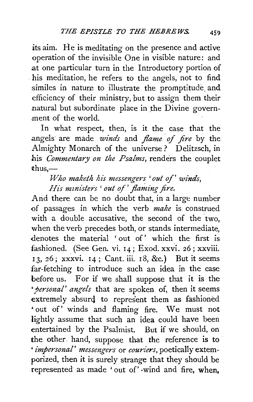its aim. He is meditating on the presence and active operation of the invisible One in visible nature: and at one particular turn in the Introductory portion of his meditation, he refers to the angels, not to find .similes in nature to illustrate the promptitude. and efficiency of their ministry, but to assign them their natural but subordinate place in the Divine government of the world.

In what respect, then, is it the case that the angels are made *winds* and *flame of fire* by the Almighty Monarch of the universe ? Delitzsch, in his *Commentary on the Psalms,* renders the couplet  $thus$ 

*Who maketh his messengers 'out of' winds, His mznisters* ' *out of 'flmning fire.* 

And there can be no doubt that, in a large number of passages in which the verb *make* is construed with a double accusative, the second of the two. when the verb precedes both, or stands intermediate, denotes the material ' out of' which the first is fashioned. (See Gen. vi. 14; Exod. xxvi. 26; xxviii. 13, *26* j xxxvi. 14; Cant. iii. 18, &c.) But it seems far-fetching to introduce such an idea in the case before us. For if we shall suppose that it is the *•personal' angels* that are spoken of, then it seems extremely absurd to represent them as fashioned • out of' winds and flaming fire. We must not lightly assume that such an idea could have been entertained by the Psalmist. But if we should, on the other. hand, suppose that the reference is to *'impersonal' messengers* or *couriers,* poetically extemporized, then it is surely strange that they should be represented as made 'out of' ·wind and fire, when,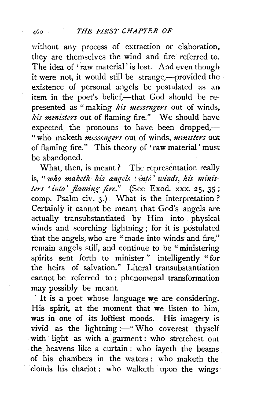without any process of extraction or elaboration, they are themselves the wind and fire referred to. The idea of 'raw material' is lost. And even though it were not, it would still be strange,-provided the existence of personal angels be postulated as an item in the poet's belief,-that God should be represented as " making *his messengers* out of winds, *his ministers* out of flaming fire." We should have expected the pronouns to have been dropped,-" who maketh *messengers* out of winds, *ministers* out of flaming fire." This theory of 'raw material ' must be abandoned.

What, then, is meant? The representation really is, "*who maketh his angels 'into' winds, his ministers 'into' flaming fire."* (See Exod. xxx. 25, 35 ; comp. Psalm civ.  $3.$ ) What is the interpretation? Certainly it cannot be meant that God's angels are actually transubstantiated by Him into physical winds and scorching lightning ; for it is postulated that the angels, who are " made into winds and fire," remain angels still, and continue to be "ministering spirits sent forth to minister " intelligently "for the heirs of salvation." Literal transubstantiation cannot be referred to : phenomenal transformation may possibly be meant.

It is a poet whose language we are considering. His spirit, at the moment that we listen to him, was in one of its loftiest moods. His imagery is vivid as the lightning :- "Who coverest thyself with light as with a garment: who stretchest out the heavens like a curtain : who layeth the beams of his chambers in the waters : who maketh the clouds his chariot : who walketh upon the wings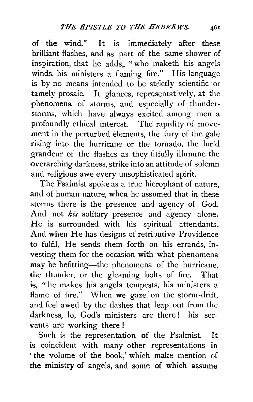of the wind." It is immediately after these brilliant flashes, and as part of the same shower of inspiration, that he adds, "who maketh his angels winds, his ministers a flaming fire." His language is by no means intended to be strictly scientific or tamely prosaic. It glances, representatively, at the phenomena of storms, and especially of thunderstorms, which have always excited among men a profoundly ethical interest. The rapidity of movement in'the perturbed elements, the fury of the gale rising into the hurricane or the tornado, the lurid grandeur of the flashes as they fitfully illumine the overarching darkness, strike into an attitude of solemn and religious awe every unsophisticated spirit.

The Psalmist spoke as a true hierophant of nature, and of human nature, when he assumed that in these storms there is the presence and agency of God. And not *his* solitary presence and agency alone. He is surrounded with his spiritual attendants. And when He has designs of retributive Providence to fulfil, He sends them forth on his errands, investing them for the occasion with what phenomena may be befitting-the phenomena of the hurricane, the thunder, or the gleaming bolts of fire. That is, "he makes his angels tempests, his ministers a flame of fire." When we gaze on the storm-drift, and feel awed by the flashes that leap out from the darkness, lo, God's ministers are there! his servants are working there!

Such is the representation of the Psalmist. It is coincident with many other representations in 'the volume of the book,' which make mention of the ministry of angels, and some of which assume